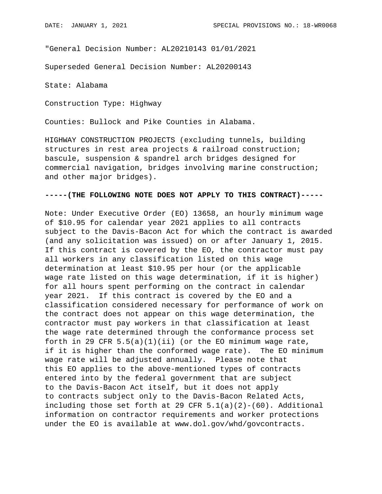"General Decision Number: AL20210143 01/01/2021

Superseded General Decision Number: AL20200143

State: Alabama

Construction Type: Highway

Counties: Bullock and Pike Counties in Alabama.

HIGHWAY CONSTRUCTION PROJECTS (excluding tunnels, building structures in rest area projects & railroad construction; bascule, suspension & spandrel arch bridges designed for commercial navigation, bridges involving marine construction; and other major bridges).

## **-----(THE FOLLOWING NOTE DOES NOT APPLY TO THIS CONTRACT)-----**

Note: Under Executive Order (EO) 13658, an hourly minimum wage of \$10.95 for calendar year 2021 applies to all contracts subject to the Davis-Bacon Act for which the contract is awarded (and any solicitation was issued) on or after January 1, 2015. If this contract is covered by the EO, the contractor must pay all workers in any classification listed on this wage determination at least \$10.95 per hour (or the applicable wage rate listed on this wage determination, if it is higher) for all hours spent performing on the contract in calendar year 2021. If this contract is covered by the EO and a classification considered necessary for performance of work on the contract does not appear on this wage determination, the contractor must pay workers in that classification at least the wage rate determined through the conformance process set forth in 29 CFR  $5.5(a)(1)(ii)$  (or the EO minimum wage rate, if it is higher than the conformed wage rate). The EO minimum wage rate will be adjusted annually. Please note that this EO applies to the above-mentioned types of contracts entered into by the federal government that are subject to the Davis-Bacon Act itself, but it does not apply to contracts subject only to the Davis-Bacon Related Acts, including those set forth at 29 CFR  $5.1(a)(2)-(60)$ . Additional information on contractor requirements and worker protections under the EO is available at www.dol.gov/whd/govcontracts.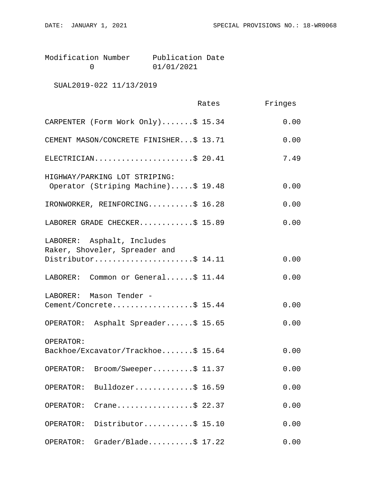| Modification Number | Publication Date |  |
|---------------------|------------------|--|
|                     | 01/01/2021       |  |

SUAL2019-022 11/13/2019

|                                                                      | Rates | Fringes |
|----------------------------------------------------------------------|-------|---------|
| CARPENTER (Form Work Only)\$ 15.34                                   |       | 0.00    |
| CEMENT MASON/CONCRETE FINISHER\$ 13.71                               |       | 0.00    |
| ELECTRICIAN\$ 20.41                                                  |       | 7.49    |
| HIGHWAY/PARKING LOT STRIPING:<br>Operator (Striping Machine)\$ 19.48 |       | 0.00    |
| IRONWORKER, REINFORCING\$ 16.28                                      |       | 0.00    |
| LABORER GRADE CHECKER\$ 15.89                                        |       | 0.00    |
| LABORER: Asphalt, Includes<br>Raker, Shoveler, Spreader and          |       |         |
| Distributor\$ 14.11                                                  |       | 0.00    |
| LABORER: Common or General\$ 11.44                                   |       | 0.00    |
| LABORER: Mason Tender -<br>Cement/Concrete\$ 15.44                   |       | 0.00    |
| OPERATOR: Asphalt Spreader\$ 15.65                                   |       | 0.00    |
| OPERATOR:<br>Backhoe/Excavator/Trackhoe\$ 15.64                      |       | 0.00    |
| Broom/Sweeper\$ 11.37<br>OPERATOR:                                   |       | 0.00    |
| Bulldozer\$ 16.59<br>OPERATOR:                                       |       | 0.00    |
| Crane\$ 22.37<br>OPERATOR:                                           |       | 0.00    |
| Distributor\$ 15.10<br>OPERATOR:                                     |       | 0.00    |
| $Grader/Blade \ldots$ . \$ 17.22<br>OPERATOR:                        |       | 0.00    |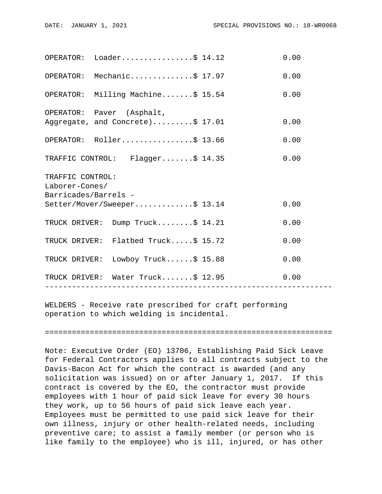|                                                            | OPERATOR: Loader\$ 14.12                                      |                | 0.00 |  |  |
|------------------------------------------------------------|---------------------------------------------------------------|----------------|------|--|--|
|                                                            | OPERATOR: Mechanic\$ 17.97                                    |                | 0.00 |  |  |
|                                                            | OPERATOR: Milling Machine\$ 15.54                             |                | 0.00 |  |  |
|                                                            | OPERATOR: Paver (Asphalt,<br>Aggregate, and Concrete)\$ 17.01 |                | 0.00 |  |  |
|                                                            | OPERATOR: Roller\$ 13.66                                      |                | 0.00 |  |  |
|                                                            | TRAFFIC CONTROL: Flagger\$ 14.35                              |                | 0.00 |  |  |
| TRAFFIC CONTROL:<br>Laborer-Cones/<br>Barricades/Barrels - |                                                               |                |      |  |  |
|                                                            | Setter/Mover/Sweeper\$ 13.14                                  |                | 0.00 |  |  |
|                                                            | TRUCK DRIVER: Dump Truck\$ 14.21                              |                | 0.00 |  |  |
|                                                            | TRUCK DRIVER: Flatbed Truck\$ 15.72                           |                | 0.00 |  |  |
|                                                            | TRUCK DRIVER: Lowboy Truck\$ 15.88                            |                | 0.00 |  |  |
|                                                            | TRUCK DRIVER: Water Truck\$ 12.95<br>------------------       | -------------- | 0.00 |  |  |
|                                                            |                                                               |                |      |  |  |

WELDERS - Receive rate prescribed for craft performing operation to which welding is incidental.

================================================================

Note: Executive Order (EO) 13706, Establishing Paid Sick Leave for Federal Contractors applies to all contracts subject to the Davis-Bacon Act for which the contract is awarded (and any solicitation was issued) on or after January 1, 2017. If this contract is covered by the EO, the contractor must provide employees with 1 hour of paid sick leave for every 30 hours they work, up to 56 hours of paid sick leave each year. Employees must be permitted to use paid sick leave for their own illness, injury or other health-related needs, including preventive care; to assist a family member (or person who is like family to the employee) who is ill, injured, or has other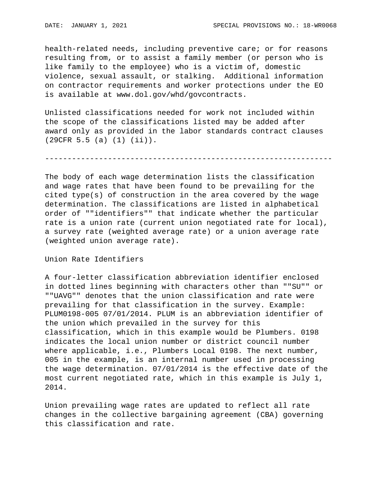health-related needs, including preventive care; or for reasons resulting from, or to assist a family member (or person who is like family to the employee) who is a victim of, domestic violence, sexual assault, or stalking. Additional information on contractor requirements and worker protections under the EO is available at www.dol.gov/whd/govcontracts.

Unlisted classifications needed for work not included within the scope of the classifications listed may be added after award only as provided in the labor standards contract clauses (29CFR 5.5 (a) (1) (ii)).

----------------------------------------------------------------

The body of each wage determination lists the classification and wage rates that have been found to be prevailing for the cited type(s) of construction in the area covered by the wage determination. The classifications are listed in alphabetical order of ""identifiers"" that indicate whether the particular rate is a union rate (current union negotiated rate for local), a survey rate (weighted average rate) or a union average rate (weighted union average rate).

Union Rate Identifiers

A four-letter classification abbreviation identifier enclosed in dotted lines beginning with characters other than ""SU"" or ""UAVG"" denotes that the union classification and rate were prevailing for that classification in the survey. Example: PLUM0198-005 07/01/2014. PLUM is an abbreviation identifier of the union which prevailed in the survey for this classification, which in this example would be Plumbers. 0198 indicates the local union number or district council number where applicable, i.e., Plumbers Local 0198. The next number, 005 in the example, is an internal number used in processing the wage determination. 07/01/2014 is the effective date of the most current negotiated rate, which in this example is July 1, 2014.

Union prevailing wage rates are updated to reflect all rate changes in the collective bargaining agreement (CBA) governing this classification and rate.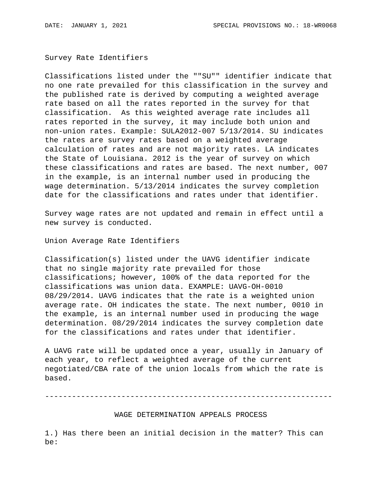Survey Rate Identifiers

Classifications listed under the ""SU"" identifier indicate that no one rate prevailed for this classification in the survey and the published rate is derived by computing a weighted average rate based on all the rates reported in the survey for that classification. As this weighted average rate includes all rates reported in the survey, it may include both union and non-union rates. Example: SULA2012-007 5/13/2014. SU indicates the rates are survey rates based on a weighted average calculation of rates and are not majority rates. LA indicates the State of Louisiana. 2012 is the year of survey on which these classifications and rates are based. The next number, 007 in the example, is an internal number used in producing the wage determination. 5/13/2014 indicates the survey completion date for the classifications and rates under that identifier.

Survey wage rates are not updated and remain in effect until a new survey is conducted.

Union Average Rate Identifiers

Classification(s) listed under the UAVG identifier indicate that no single majority rate prevailed for those classifications; however, 100% of the data reported for the classifications was union data. EXAMPLE: UAVG-OH-0010 08/29/2014. UAVG indicates that the rate is a weighted union average rate. OH indicates the state. The next number, 0010 in the example, is an internal number used in producing the wage determination. 08/29/2014 indicates the survey completion date for the classifications and rates under that identifier.

A UAVG rate will be updated once a year, usually in January of each year, to reflect a weighted average of the current negotiated/CBA rate of the union locals from which the rate is based.

----------------------------------------------------------------

WAGE DETERMINATION APPEALS PROCESS

1.) Has there been an initial decision in the matter? This can be: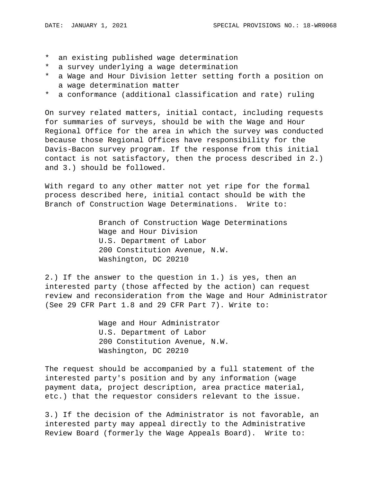- \* an existing published wage determination
- \* a survey underlying a wage determination
- \* a Wage and Hour Division letter setting forth a position on a wage determination matter
- \* a conformance (additional classification and rate) ruling

On survey related matters, initial contact, including requests for summaries of surveys, should be with the Wage and Hour Regional Office for the area in which the survey was conducted because those Regional Offices have responsibility for the Davis-Bacon survey program. If the response from this initial contact is not satisfactory, then the process described in 2.) and 3.) should be followed.

With regard to any other matter not yet ripe for the formal process described here, initial contact should be with the Branch of Construction Wage Determinations. Write to:

> Branch of Construction Wage Determinations Wage and Hour Division U.S. Department of Labor 200 Constitution Avenue, N.W. Washington, DC 20210

2.) If the answer to the question in 1.) is yes, then an interested party (those affected by the action) can request review and reconsideration from the Wage and Hour Administrator (See 29 CFR Part 1.8 and 29 CFR Part 7). Write to:

> Wage and Hour Administrator U.S. Department of Labor 200 Constitution Avenue, N.W. Washington, DC 20210

The request should be accompanied by a full statement of the interested party's position and by any information (wage payment data, project description, area practice material, etc.) that the requestor considers relevant to the issue.

3.) If the decision of the Administrator is not favorable, an interested party may appeal directly to the Administrative Review Board (formerly the Wage Appeals Board). Write to: